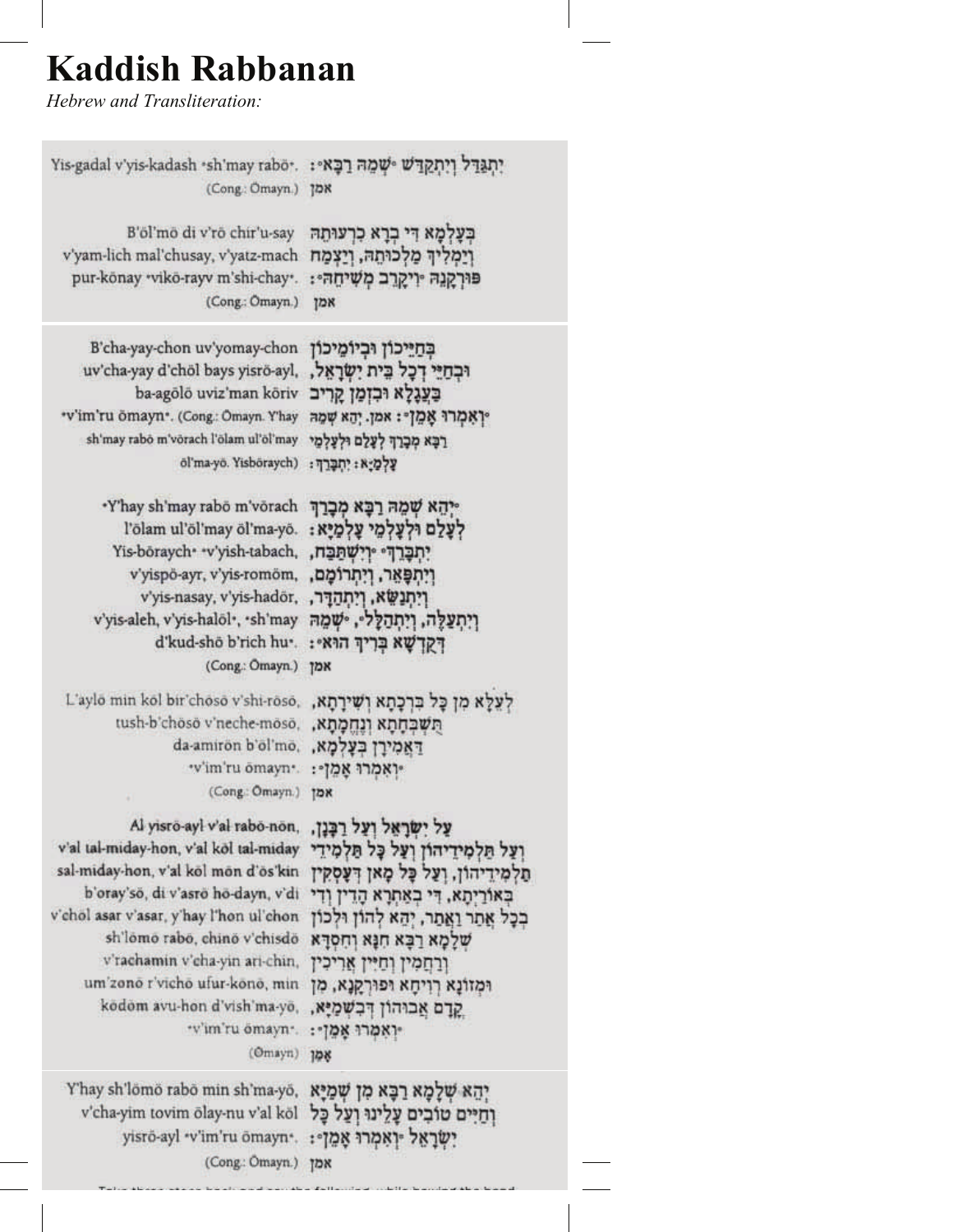## **Kaddish Rabbanan**

*Hebrew and Transliteration:*

| Yis-gadal v'yis-kadash *sh'may rabo*.                                                                                     | יִתְגַּדֵּל וְיִתְקַדַּשׁ <i>∘שְׁמַהּ</i> רַבָּא∘:                             |
|---------------------------------------------------------------------------------------------------------------------------|--------------------------------------------------------------------------------|
| (Cong: Omayn.)                                                                                                            | אמן                                                                            |
| B'öl'mö di v'rö chir'u-say                                                                                                | בִּעֲלִמָא דִּי בְרָא כִרְעוּתָה                                               |
| v'yam-lich mal'chusay, v'yatz-mach                                                                                        | וַיַמְלִיךְ מַלְכוּתָהּ, וְיַצְמָח                                             |
| pur-könay *vikö-rayv m'shi-chay*.                                                                                         | פוּרְקַנֶהּ יִייַקְרֵב מְשִׁיחֲהִי:                                            |
| (Cong.: Ömayn.)                                                                                                           | אמן                                                                            |
| B'cha-yay-chon uv'yomay-chon                                                                                              | בְחַיֵּיכוֹן וּבִיוֹמֵיכוֹן                                                    |
| uv'cha-yay d'chöl bays yisrö-ayl,                                                                                         | וּבְחַיֵּי דְכָל בֵּית יִשְׂרָאֵל,                                             |
| ba-agölö uviz'man köriv                                                                                                   | בַּעֲגָלַא וּבִזְמַן קַרִיב                                                    |
| *v'im'ru ömayn*. (Cong.: Ömayn. Y'hay                                                                                     | יַן אָמְרוּ אָמֵן =: אמן. יְהָא שְמָה                                          |
| sh'may rabo m'vorach l'olam ul'ol'may                                                                                     | רִכָּא מִכָּרַךְ לְעָלַם וּלְעָלְמֵי                                           |
| öľma-yō. Yisböraych)                                                                                                      | עַלְמָיָא: יְחִבְּרַךְ:                                                        |
| *Y'hay sh'may rabō m'vōrach                                                                                               | יּיְהָא שָׁמָהּ רַבָּא מִכָּרַךְ                                               |
| l'ölam ul'öl'may öl'ma-yö.                                                                                                | לעלם ולעלמי עלמיא:                                                             |
| Yis-böraych <sup>*</sup> *v'yish-tabach,                                                                                  | יִתְבָּרֵךְ ּיְיִשְׁתַּבָּח,                                                   |
| v'yispö-ayr, v'yis-romöm,                                                                                                 | וְיִתְפָּאֵר, וְיִתְרוֹמֶם,                                                    |
| v'yis-nasay, v'yis-hadör,                                                                                                 | ויתנשא, ויתהדר,                                                                |
| v'yis-aleh, v'yis-halöl*, *sh'may                                                                                         | וְיִתְעַלֶּה, וְיִתְהַלָּלִי, יִשְׁמֵה                                         |
| d'kud-shō b'rich hu*.                                                                                                     | <b>דַקַרְשָׁא בִּרְיךְ הוּא</b> ּ:                                             |
| (Cong.: Omayn.)                                                                                                           | אמן                                                                            |
| L'aylo min kol bir'choso v'shi-roso,                                                                                      | לעלא מן כל ברכתא ושירתא.                                                       |
| tush-b'choso v'neche-moso.                                                                                                | תשכחתא ונחמתא.                                                                 |
| da-amiron b'ol'mo.                                                                                                        | דאמירן בעלמא.                                                                  |
| "v'im'ru omayn".                                                                                                          | יואמרו אמן -:                                                                  |
| (Cong: Omayn.)                                                                                                            | אמן                                                                            |
| Al yisrö-ayl v'al rabo-non,                                                                                               | עַל יִשְׂרָאֵל וְעַל רַבְּנָן.                                                 |
| v'al tal-miday-hon, v'al köl tal-miday                                                                                    | ועל תלמידיהון ועל כל תלמידי                                                    |
| sal-miday-hon, v'al köl mön d'ös'kin                                                                                      | תלמידיהון, ועל כל מאן דעסקין                                                   |
| b'oray'sō, di v'asrō hō-dayn, v'di                                                                                        | באוריתא, די באתרא הדין ודי                                                     |
| v'chol asar v'asar, y'hay l'hon ul'chon                                                                                   | בכל אתר ואתר, יהא להון ולכון                                                   |
| sh'lomo rabo, chino v'chisdo                                                                                              | שלמא רבא חנא וחסרא                                                             |
| v'rachamin v'cha-yin ari-chin,                                                                                            | ורחמין וחיין אריכין                                                            |
| um'zonō r'vichō ufur-kōnō, min                                                                                            | וּמַזוֹנָא רְוִיחָא וּפוּרְקַנָא, מִן                                          |
| kodom avu-hon d'vish'ma-yō,                                                                                               | קדם אבוהון דבשמיא.                                                             |
| "v'im'ru ömayn".                                                                                                          | יואמרו אמן ::                                                                  |
| (Omayn)                                                                                                                   | 108                                                                            |
| Y'hay sh'lömö rabō min sh'ma-yō,<br>v'cha-yim tovim ölay-nu v'al köl<br>yisrö-ayl "v'im'ru ömayn".<br>(Cong.: Ömayn.) אמן | יהא שלמא רכא מן שמיא<br>וחיים טובים עלינו ועל כל<br>יִשׂרָאֵל -וְאִמְרוּ אָמֵן |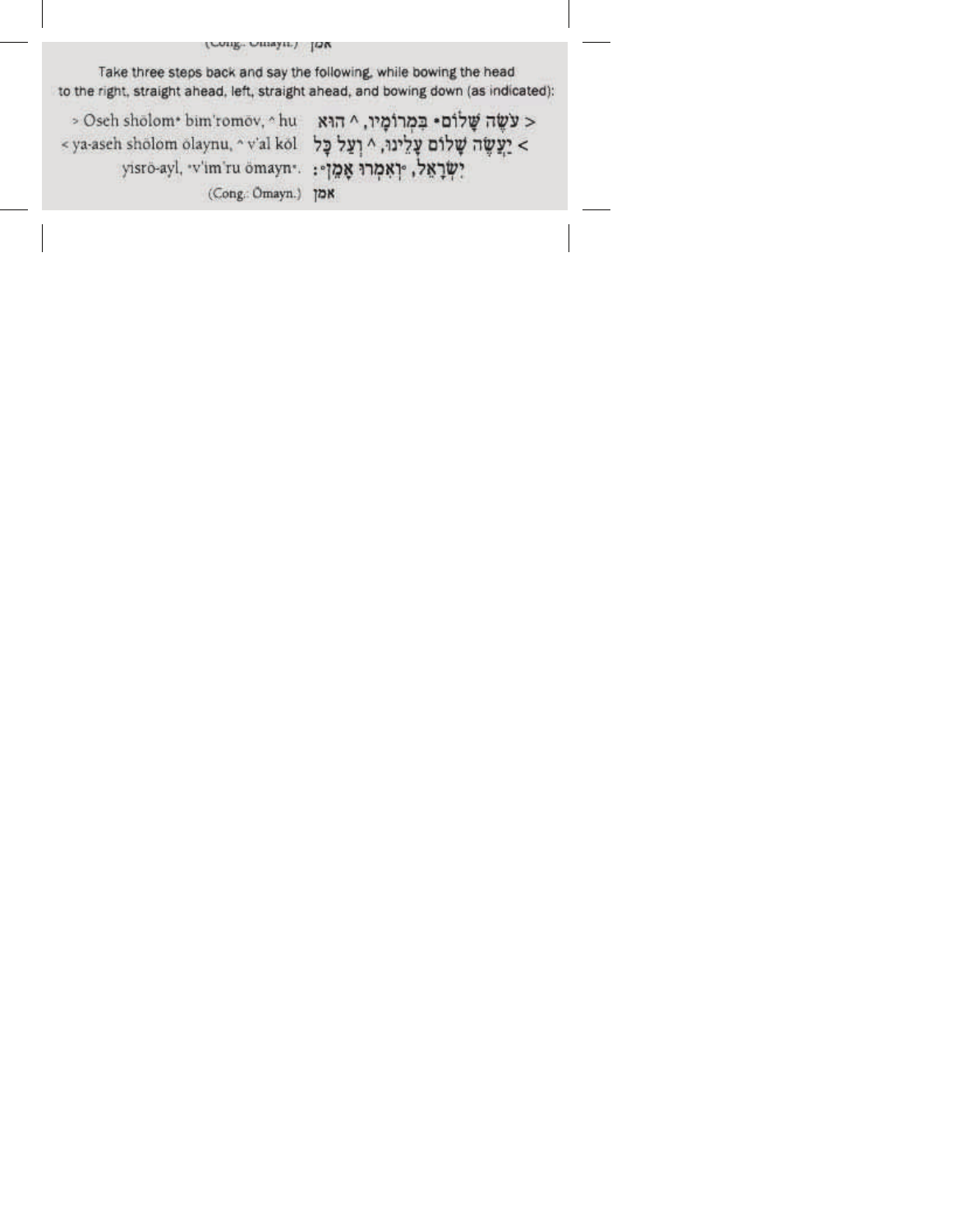(Cong. Omayn.) JON

Take three steps back and say the following, while bowing the head to the right, straight ahead, left, straight ahead, and bowing down (as indicated):

> Osch sholom\* bim'romov, ^ hu \_ אה ^ הוא osch sholom\* bim'romov, ^ hu < ya-aseh sholom olaynu, ^ v'al kol יַעֲלָינוּ, <br/>יַעֲשֶׂה יָעֲלוֹם יָלוֹם יָאֲלוֹם יִ יִשְׂרָאֵל, יְרְאָמְרוּ אֶמֶן -: ... ... ... ... ... ... ... ... ... (Cong.: Ömayn.) אמן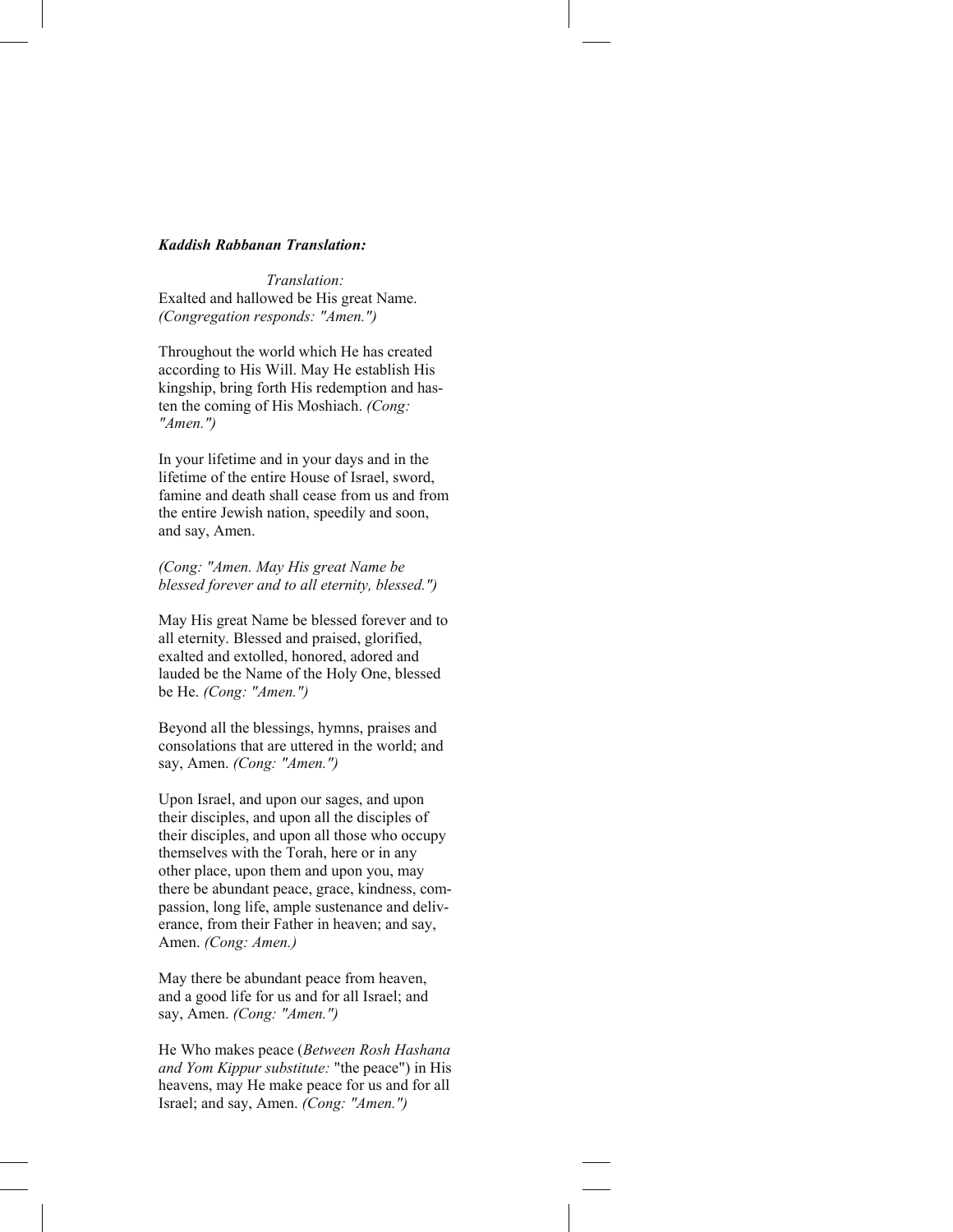## *Kaddish Rabbanan Translation:*

*Translation:*  Exalted and hallowed be His great Name. *(Congregation responds: "Amen.")* 

Throughout the world which He has created according to His Will. May He establish His kingship, bring forth His redemption and hasten the coming of His Moshiach. *(Cong: "Amen.")* 

In your lifetime and in your days and in the lifetime of the entire House of Israel, sword, famine and death shall cease from us and from the entire Jewish nation, speedily and soon, and say, Amen.

*(Cong: "Amen. May His great Name be blessed forever and to all eternity, blessed.")* 

May His great Name be blessed forever and to all eternity. Blessed and praised, glorified, exalted and extolled, honored, adored and lauded be the Name of the Holy One, blessed be He. *(Cong: "Amen.")* 

Beyond all the blessings, hymns, praises and consolations that are uttered in the world; and say, Amen. *(Cong: "Amen.")* 

Upon Israel, and upon our sages, and upon their disciples, and upon all the disciples of their disciples, and upon all those who occupy themselves with the Torah, here or in any other place, upon them and upon you, may there be abundant peace, grace, kindness, compassion, long life, ample sustenance and deliverance, from their Father in heaven; and say, Amen. *(Cong: Amen.)* 

May there be abundant peace from heaven, and a good life for us and for all Israel; and say, Amen. *(Cong: "Amen.")* 

He Who makes peace (*Between Rosh Hashana and Yom Kippur substitute:* "the peace") in His heavens, may He make peace for us and for all Israel; and say, Amen. *(Cong: "Amen.")*